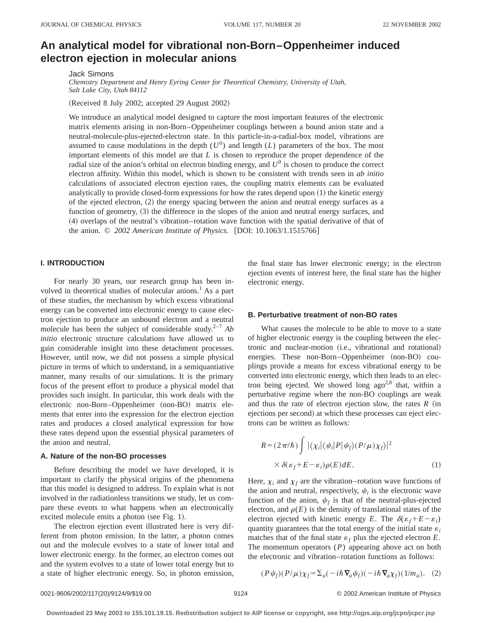# **An analytical model for vibrational non-Born–Oppenheimer induced electron ejection in molecular anions**

Jack Simons

*Chemistry Department and Henry Eyring Center for Theoretical Chemistry, University of Utah, Salt Lake City, Utah 84112*

(Received 8 July 2002; accepted 29 August 2002)

We introduce an analytical model designed to capture the most important features of the electronic matrix elements arising in non-Born–Oppenheimer couplings between a bound anion state and a neutral-molecule-plus-ejected-electron state. In this particle-in-a-radial-box model, vibrations are assumed to cause modulations in the depth  $(U^0)$  and length  $(L)$  parameters of the box. The most important elements of this model are that *L* is chosen to reproduce the proper dependence of the radial size of the anion's orbital on electron binding energy, and  $U^0$  is chosen to produce the correct electron affinity. Within this model, which is shown to be consistent with trends seen in *ab initio* calculations of associated electron ejection rates, the coupling matrix elements can be evaluated analytically to provide closed-form expressions for how the rates depend upon  $(1)$  the kinetic energy of the ejected electron,  $(2)$  the energy spacing between the anion and neutral energy surfaces as a function of geometry, (3) the difference in the slopes of the anion and neutral energy surfaces, and ~4! overlaps of the neutral's vibration–rotation wave function with the spatial derivative of that of the anion. © 2002 American Institute of Physics. [DOI: 10.1063/1.1515766]

## **I. INTRODUCTION**

For nearly 30 years, our research group has been involved in theoretical studies of molecular anions.<sup>1</sup> As a part of these studies, the mechanism by which excess vibrational energy can be converted into electronic energy to cause electron ejection to produce an unbound electron and a neutral molecule has been the subject of considerable study.<sup>2-7</sup>  $Ab$ *initio* electronic structure calculations have allowed us to gain considerable insight into these detachment processes. However, until now, we did not possess a simple physical picture in terms of which to understand, in a semiquantiative manner, many results of our simulations. It is the primary focus of the present effort to produce a physical model that provides such insight. In particular, this work deals with the electronic non-Born–Oppenheimer (non-BO) matrix elements that enter into the expression for the electron ejection rates and produces a closed analytical expression for how these rates depend upon the essential physical parameters of the anion and neutral.

## **A. Nature of the non-BO processes**

Before describing the model we have developed, it is important to clarify the physical origins of the phenomena that this model is designed to address. To explain what is not involved in the radiationless transitions we study, let us compare these events to what happens when an electronically excited molecule emits a photon (see Fig. 1).

The electron ejection event illustrated here is very different from photon emission. In the latter, a photon comes out and the molecule evolves to a state of lower total and lower electronic energy. In the former, an electron comes out and the system evolves to a state of lower total energy but to a state of higher electronic energy. So, in photon emission, the final state has lower electronic energy; in the electron ejection events of interest here, the final state has the higher electronic energy.

### **B. Perturbative treatment of non-BO rates**

What causes the molecule to be able to move to a state of higher electronic energy is the coupling between the electronic and nuclear-motion (i.e., vibrational and rotational) energies. These non-Born–Oppenheimer  $(non-BO)$  couplings provide a means for excess vibrational energy to be converted into electronic energy, which then leads to an electron being ejected. We showed long  $ago^{2,8}$  that, within a perturbative regime where the non-BO couplings are weak and thus the rate of electron ejection slow, the rates  $R$  (in ejections per second) at which these processes can eject electrons can be written as follows:

$$
R = (2\pi/\hbar) \int |\langle \chi_i | \langle \psi_i | P | \psi_f \rangle (P/\mu) \chi_f \rangle|^2
$$
  
 
$$
\times \delta(\varepsilon_f + E - \varepsilon_i) \rho(E) dE.
$$
 (1)

Here,  $\chi_i$  and  $\chi_f$  are the vibration–rotation wave functions of the anion and neutral, respectively,  $\psi_i$  is the electronic wave function of the anion,  $\psi_f$  is that of the neutral-plus-ejected electron, and  $\rho(E)$  is the density of translational states of the electron ejected with kinetic energy *E*. The  $\delta(\varepsilon_f + E - \varepsilon_i)$ quantity guarantees that the total energy of the initial state  $\varepsilon_i$ matches that of the final state  $\varepsilon_f$  plus the ejected electron *E*. The momentum operators (*P*) appearing above act on both the electronic and vibration–rotation functions as follows:

$$
(P\psi_f)(P/\mu)\chi_f = \Sigma_a(-i\hbar\,\nabla_a\psi_f)(-i\hbar\,\nabla_a\chi_f)(1/m_a). \tag{2}
$$

0021-9606/2002/117(20)/9124/9/\$19.00 © 2002 American Institute of Physics 9124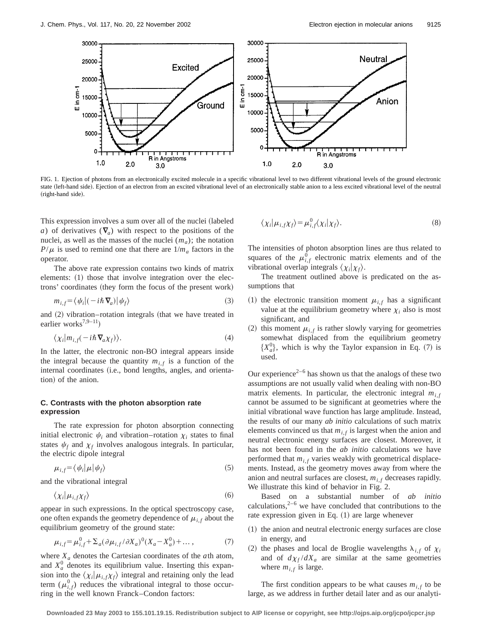

FIG. 1. Ejection of photons from an electronically excited molecule in a specific vibrational level to two different vibrational levels of the ground electronic state (left-hand side). Ejection of an electron from an excited vibrational level of an electronically stable anion to a less excited vibrational level of the neutral  $(right$ -hand side).

This expression involves a sum over all of the nuclei (labeled *a*) of derivatives  $(\nabla_a)$  with respect to the positions of the nuclei, as well as the masses of the nuclei  $(m_a)$ ; the notation  $P/\mu$  is used to remind one that there are  $1/m_a$  factors in the operator.

The above rate expression contains two kinds of matrix elements:  $(1)$  those that involve integration over the electrons' coordinates (they form the focus of the present work)

$$
m_{i,f} = \langle \psi_i | (-i\hbar \nabla_a) | \psi_f \rangle \tag{3}
$$

and  $(2)$  vibration–rotation integrals (that we have treated in earlier works<sup>7,9-11</sup>)

$$
\langle \chi_i | m_{i,f}(-i\hbar \nabla_a \chi_f) \rangle. \tag{4}
$$

In the latter, the electronic non-BO integral appears inside the integral because the quantity  $m_{i,f}$  is a function of the internal coordinates (i.e., bond lengths, angles, and orientation) of the anion.

## **C. Contrasts with the photon absorption rate expression**

The rate expression for photon absorption connecting initial electronic  $\psi_i$  and vibration–rotation  $\chi_i$  states to final states  $\psi_f$  and  $\chi_f$  involves analogous integrals. In particular, the electric dipole integral

$$
\mu_{i,f} = \langle \psi_i | \mu | \psi_f \rangle \tag{5}
$$

and the vibrational integral

$$
\langle \chi_i | \mu_{i,f} \chi_f \rangle \tag{6}
$$

appear in such expressions. In the optical spectroscopy case, one often expands the geometry dependence of  $\mu_{i,f}$  about the equilibrium geometry of the ground state:

$$
\mu_{i,f} = \mu_{i,f}^0 + \Sigma_a (\partial \mu_{i,f} / \partial X_a)^0 (X_a - X_a^0) + \dots, \tag{7}
$$

where  $X_a$  denotes the Cartesian coordinates of the  $a$ <sup>th</sup> atom, and  $X_a^0$  denotes its equilibrium value. Inserting this expansion into the  $\langle \chi_i | \mu_{i,f} \chi_f \rangle$  integral and retaining only the lead term  $(\mu_{i,f}^0)$  reduces the vibrational integral to those occurring in the well known Franck–Condon factors:

$$
\langle \chi_i | \mu_{i,f} \chi_f \rangle = \mu_{i,f}^0 \langle \chi_i | \chi_f \rangle. \tag{8}
$$

The intensities of photon absorption lines are thus related to squares of the  $\mu_{i,f}^0$  electronic matrix elements and of the vibrational overlap integrals  $\langle \chi_i | \chi_f \rangle$ .

The treatment outlined above is predicated on the assumptions that

- (1) the electronic transition moment  $\mu_{i,f}$  has a significant value at the equilibrium geometry where  $\chi_i$  also is most significant, and
- (2) this moment  $\mu_{i,f}$  is rather slowly varying for geometries somewhat displaced from the equilibrium geometry  $\{X_a^0\}$ , which is why the Taylor expansion in Eq. (7) is used.

Our experience<sup> $2-6$ </sup> has shown us that the analogs of these two assumptions are not usually valid when dealing with non-BO matrix elements. In particular, the electronic integral  $m<sub>i</sub>$ , cannot be assumed to be significant at geometries where the initial vibrational wave function has large amplitude. Instead, the results of our many *ab initio* calculations of such matrix elements convinced us that  $m_{i,f}$  is largest when the anion and neutral electronic energy surfaces are closest. Moreover, it has not been found in the *ab initio* calculations we have performed that  $m<sub>i,f</sub>$  varies weakly with geometrical displacements. Instead, as the geometry moves away from where the anion and neutral surfaces are closest,  $m_{i,f}$  decreases rapidly. We illustrate this kind of behavior in Fig. 2.

Based on a substantial number of *ab initio* calculations, $2^{-6}$  we have concluded that contributions to the rate expression given in Eq.  $(1)$  are large whenever

- $(1)$  the anion and neutral electronic energy surfaces are close in energy, and
- (2) the phases and local de Broglie wavelengths  $\lambda_{i,f}$  of  $\chi_i$ and of  $d\chi_f/dX_a$  are similar at the same geometries where  $m_{i,f}$  is large.

The first condition appears to be what causes  $m_{i,f}$  to be large, as we address in further detail later and as our analyti-

**Downloaded 23 May 2003 to 155.101.19.15. Redistribution subject to AIP license or copyright, see http://ojps.aip.org/jcpo/jcpcr.jsp**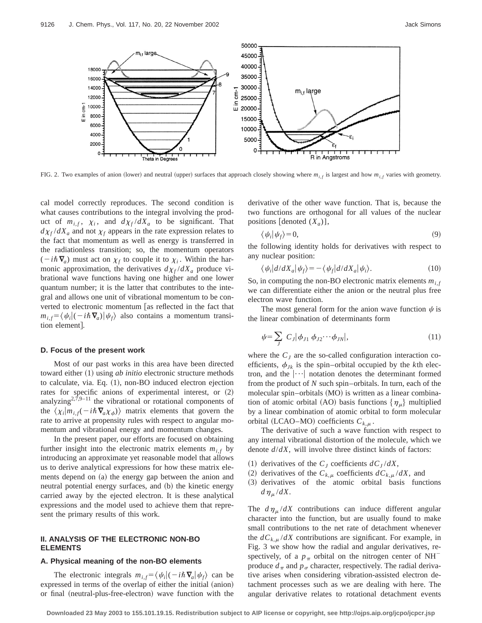

FIG. 2. Two examples of anion (lower) and neutral (upper) surfaces that approach closely showing where  $m_{i,f}$  is largest and how  $m_{i,f}$  varies with geometry.

cal model correctly reproduces. The second condition is what causes contributions to the integral involving the product of  $m_{i,f}$ ,  $\chi_i$ , and  $d\chi_f/dX_a$  to be significant. That  $d\chi_f/dX_a$  and not  $\chi_f$  appears in the rate expression relates to the fact that momentum as well as energy is transferred in the radiationless transition; so, the momentum operators  $(-i\hbar\,\nabla_a)$  must act on  $\chi_f$  to couple it to  $\chi_i$ . Within the harmonic approximation, the derivatives  $d\chi_f/dX_a$  produce vibrational wave functions having one higher and one lower quantum number; it is the latter that contributes to the integral and allows one unit of vibrational momentum to be converted to electronic momentum [as reflected in the fact that  $m_{i,f} = \langle \psi_i | (-i\hbar \nabla_a) | \psi_f \rangle$  also contains a momentum transition element.

#### **D. Focus of the present work**

Most of our past works in this area have been directed toward either (1) using *ab initio* electronic structure methods to calculate, via. Eq.  $(1)$ , non-BO induced electron ejection rates for specific anions of experimental interest, or  $(2)$ analyzing<sup>2,7,9–11</sup> the vibrational or rotational components of the  $\langle \chi_i | m_{i,f}(-i\hbar \nabla_a \chi_{\phi}) \rangle$  matrix elements that govern the rate to arrive at propensity rules with respect to angular momentum and vibrational energy and momentum changes.

In the present paper, our efforts are focused on obtaining further insight into the electronic matrix elements  $m_{i,f}$  by introducing an approximate yet reasonable model that allows us to derive analytical expressions for how these matrix elements depend on (a) the energy gap between the anion and neutral potential energy surfaces, and (b) the kinetic energy carried away by the ejected electron. It is these analytical expressions and the model used to achieve them that represent the primary results of this work.

## **II. ANALYSIS OF THE ELECTRONIC NON-BO ELEMENTS**

## **A. Physical meaning of the non-BO elements**

The electronic integrals  $m_{i,f} = \langle \psi_i | (-i\hbar \nabla_a | \psi_f \rangle)$  can be expressed in terms of the overlap of either the initial (anion) or final (neutral-plus-free-electron) wave function with the derivative of the other wave function. That is, because the two functions are orthogonal for all values of the nuclear positions  $\lbrack$  denoted  $(X_a)$ ],

$$
\langle \psi_i | \psi_f \rangle = 0, \tag{9}
$$

the following identity holds for derivatives with respect to any nuclear position:

$$
\langle \psi_i | d/dX_a | \psi_f \rangle = -\langle \psi_f | d/dX_a | \psi_i \rangle. \tag{10}
$$

So, in computing the non-BO electronic matrix elements  $m_{i,f}$ we can differentiate either the anion or the neutral plus free electron wave function.

The most general form for the anion wave function  $\psi$  is the linear combination of determinants form

$$
\psi = \sum_{J} C_{J} |\phi_{J1} \phi_{J2} \cdots \phi_{JN}|, \qquad (11)
$$

where the  $C_J$  are the so-called configuration interaction coefficients,  $\phi_{Jk}$  is the spin–orbital occupied by the *k*th electron, and the  $|\cdots|$  notation denotes the determinant formed from the product of *N* such spin–orbitals. In turn, each of the molecular spin–orbitals (MO) is written as a linear combination of atomic orbital (AO) basis functions  $\{\eta_\mu\}$  multiplied by a linear combination of atomic orbital to form molecular orbital (LCAO–MO) coefficients  $C_{k,\mu}$ .

The derivative of such a wave function with respect to any internal vibrational distortion of the molecule, which we denote *d*/*dX*, will involve three distinct kinds of factors:

- $(1)$  derivatives of the  $C_J$  coefficients  $dC_J/dX$ ,
- (2) derivatives of the  $C_{k,\mu}$  coefficients  $dC_{k,\mu}/dX$ , and
- ~3! derivatives of the atomic orbital basis functions  $d\eta_\mu/dX$ .

The  $d\eta_{\mu}/dX$  contributions can induce different angular character into the function, but are usually found to make small contributions to the net rate of detachment whenever the  $dC_{k,n}/dX$  contributions are significant. For example, in Fig. 3 we show how the radial and angular derivatives, respectively, of a  $p_{\pi}$  orbital on the nitrogen center of NH<sup>-</sup> produce  $d_{\pi}$  and  $p_{\sigma}$  character, respectively. The radial derivative arises when considering vibration-assisted electron detachment processes such as we are dealing with here. The angular derivative relates to rotational detachment events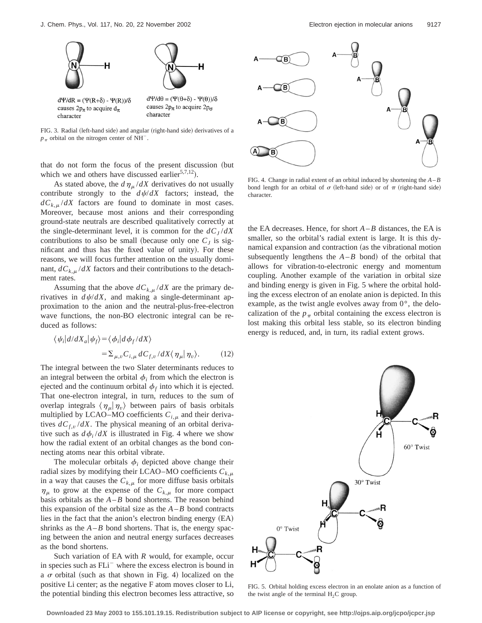

FIG. 3. Radial (left-hand side) and angular (right-hand side) derivatives of a  $p_{\pi}$  orbital on the nitrogen center of NH<sup>-</sup>.

that do not form the focus of the present discussion (but which we and others have discussed earlier<sup>5,7,12</sup>).

As stated above, the  $d\eta_\mu/dX$  derivatives do not usually contribute strongly to the  $d\psi/dX$  factors; instead, the  $dC_{k,\mu}/dX$  factors are found to dominate in most cases. Moreover, because most anions and their corresponding ground-state neutrals are described qualitatively correctly at the single-determinant level, it is common for the  $dC<sub>I</sub>/dX$ contributions to also be small (because only one  $C_J$  is significant and thus has the fixed value of unity). For these reasons, we will focus further attention on the usually dominant,  $dC_{k,\mu}/dX$  factors and their contributions to the detachment rates.

Assuming that the above  $dC_{k,\mu}/dX$  are the primary derivatives in  $d\psi/dX$ , and making a single-determinant approximation to the anion and the neutral-plus-free-electron wave functions, the non-BO electronic integral can be reduced as follows:

$$
\langle \psi_i | d/dX_a | \psi_f \rangle = \langle \phi_i | d\phi_f / dX \rangle
$$
  
=  $\sum_{\mu, v} C_{i,\mu} dC_{f,v} / dX \langle \eta_\mu | \eta_v \rangle$ . (12)

The integral between the two Slater determinants reduces to an integral between the orbital  $\phi_i$  from which the electron is ejected and the continuum orbital  $\phi_f$  into which it is ejected. That one-electron integral, in turn, reduces to the sum of overlap integrals  $\langle \eta_\mu | \eta_\nu \rangle$  between pairs of basis orbitals multiplied by LCAO–MO coefficients  $C_{i,\mu}$  and their derivatives  $dC_{f,\nu}/dX$ . The physical meaning of an orbital derivative such as  $d\phi_i/dX$  is illustrated in Fig. 4 where we show how the radial extent of an orbital changes as the bond connecting atoms near this orbital vibrate.

The molecular orbitals  $\phi_i$  depicted above change their radial sizes by modifying their LCAO–MO coefficients  $C_{k,\mu}$ in a way that causes the  $C_{k,\mu}$  for more diffuse basis orbitals  $\eta_{\mu}$  to grow at the expense of the  $C_{k,\mu}$  for more compact basis orbitals as the  $A$ – $B$  bond shortens. The reason behind this expansion of the orbital size as the  $A - B$  bond contracts lies in the fact that the anion's electron binding energy  $(EA)$ shrinks as the  $A - B$  bond shortens. That is, the energy spacing between the anion and neutral energy surfaces decreases as the bond shortens.

Such variation of EA with *R* would, for example, occur in species such as FLi<sup>-</sup> where the excess electron is bound in a  $\sigma$  orbital (such as that shown in Fig. 4) localized on the positive Li center; as the negative F atom moves closer to Li, the potential binding this electron becomes less attractive, so



FIG. 4. Change in radial extent of an orbital induced by shortening the *A*–*B* bond length for an orbital of  $\sigma$  (left-hand side) or of  $\pi$  (right-hand side) character.

the EA decreases. Hence, for short  $A - B$  distances, the EA is smaller, so the orbital's radial extent is large. It is this dynamical expansion and contraction (as the vibrational motion subsequently lengthens the  $A$ – $B$  bond) of the orbital that allows for vibration-to-electronic energy and momentum coupling. Another example of the variation in orbital size and binding energy is given in Fig. 5 where the orbital holding the excess electron of an enolate anion is depicted. In this example, as the twist angle evolves away from  $0^{\circ}$ , the delocalization of the  $p_{\pi}$  orbital containing the excess electron is lost making this orbital less stable, so its electron binding energy is reduced, and, in turn, its radial extent grows.



FIG. 5. Orbital holding excess electron in an enolate anion as a function of the twist angle of the terminal  $H_2C$  group.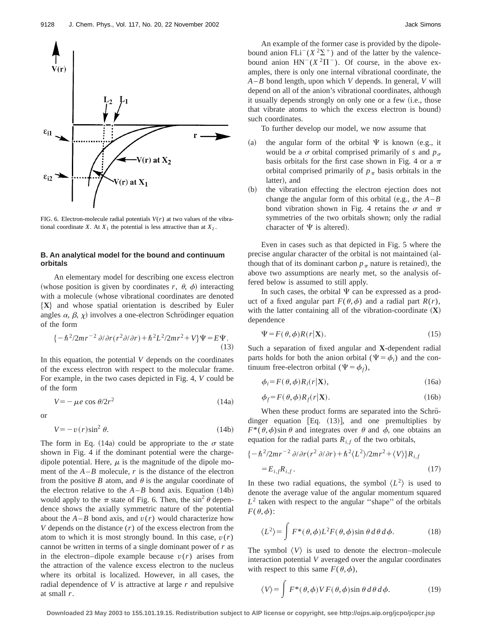

FIG. 6. Electron-molecule radial potentials  $V(r)$  at two values of the vibrational coordinate *X*. At  $X_1$  the potential is less attractive than at  $X_2$ .

## **B. An analytical model for the bound and continuum orbitals**

An elementary model for describing one excess electron (whose position is given by coordinates  $r$ ,  $\theta$ ,  $\phi$ ) interacting with a molecule (whose vibrational coordinates are denoted  ${X}$  and whose spatial orientation is described by Euler angles  $\alpha$ ,  $\beta$ ,  $\chi$ ) involves a one-electron Schrödinger equation of the form

$$
\{-\hbar^2/2mr^{-2}\partial/\partial r(r^2\partial/\partial r)+\hbar^2L^2/2mr^2+V\}\Psi=E\Psi.\tag{13}
$$

In this equation, the potential *V* depends on the coordinates of the excess electron with respect to the molecular frame. For example, in the two cases depicted in Fig. 4, *V* could be of the form

$$
V = -\mu e \cos \theta / 2r^2 \tag{14a}
$$

or

$$
V = -v(r)\sin^2\theta. \tag{14b}
$$

The form in Eq. (14a) could be appropriate to the  $\sigma$  state shown in Fig. 4 if the dominant potential were the chargedipole potential. Here,  $\mu$  is the magnitude of the dipole moment of the  $A - B$  molecule,  $r$  is the distance of the electron from the positive *B* atom, and  $\theta$  is the angular coordinate of the electron relative to the  $A - B$  bond axis. Equation  $(14b)$ would apply to the  $\pi$  state of Fig. 6. Then, the sin<sup>2</sup>  $\theta$  dependence shows the axially symmetric nature of the potential about the  $A - B$  bond axis, and  $v(r)$  would characterize how *V* depends on the distance  $(r)$  of the excess electron from the atom to which it is most strongly bound. In this case,  $v(r)$ cannot be written in terms of a single dominant power of *r* as in the electron–dipole example because  $v(r)$  arises from the attraction of the valence excess electron to the nucleus where its orbital is localized. However, in all cases, the radial dependence of *V* is attractive at large *r* and repulsive at small *r*.

An example of the former case is provided by the dipolebound anion  $\overline{FLi}(X^2\Sigma^+)$  and of the latter by the valencebound anion  $HN^{-}(X^{2}\Pi^{-})$ . Of course, in the above examples, there is only one internal vibrational coordinate, the *A*–*B* bond length, upon which *V* depends. In general, *V* will depend on all of the anion's vibrational coordinates, although it usually depends strongly on only one or a few (i.e., those that vibrate atoms to which the excess electron is bound) such coordinates.

To further develop our model, we now assume that

- (a) the angular form of the orbital  $\Psi$  is known (e.g., it would be a  $\sigma$  orbital comprised primarily of *s* and  $p_{\sigma}$ basis orbitals for the first case shown in Fig. 4 or a  $\pi$ orbital comprised primarily of  $p_\pi$  basis orbitals in the latter), and
- (b) the vibration effecting the electron ejection does not change the angular form of this orbital (e.g., the  $A - B$ bond vibration shown in Fig. 4 retains the  $\sigma$  and  $\pi$ symmetries of the two orbitals shown; only the radial character of  $\Psi$  is altered).

Even in cases such as that depicted in Fig. 5 where the precise angular character of the orbital is not maintained (although that of its dominant carbon  $p_{\pi}$  nature is retained), the above two assumptions are nearly met, so the analysis offered below is assumed to still apply.

In such cases, the orbital  $\Psi$  can be expressed as a product of a fixed angular part  $F(\theta, \phi)$  and a radial part  $R(r)$ , with the latter containing all of the vibration-coordinate  $({\bf X})$ dependence

$$
\Psi = F(\theta, \phi)R(r|\mathbf{X}).\tag{15}
$$

Such a separation of fixed angular and **X**-dependent radial parts holds for both the anion orbital ( $\Psi = \phi_i$ ) and the continuum free-electron orbital ( $\Psi = \phi_f$ ),

$$
\phi_i = F(\theta, \phi) R_i(r|\mathbf{X}),\tag{16a}
$$

$$
\phi_f = F(\theta, \phi) R_f(r|\mathbf{X}).\tag{16b}
$$

When these product forms are separated into the Schrödinger equation [Eq.  $(13)$ ], and one premultiplies by  $F^*(\theta, \phi)$ sin  $\theta$  and integrates over  $\theta$  and  $\phi$ , one obtains an equation for the radial parts  $R_{i,f}$  of the two orbitals,

$$
\begin{aligned} \{-\hbar^2/2mr^{-2}\partial/\partial r(r^2\partial/\partial r)+\hbar^2\langle L^2\rangle/2mr^2+\langle V\rangle\}R_{i,f} \\ =E_{i,f}R_{i,f}. \end{aligned} \tag{17}
$$

In these two radial equations, the symbol  $\langle L^2 \rangle$  is used to denote the average value of the angular momentum squared  $L<sup>2</sup>$  taken with respect to the angular "shape" of the orbitals  $F(\theta,\phi)$ :

$$
\langle L^2 \rangle = \int F^*(\theta, \phi) L^2 F(\theta, \phi) \sin \theta \, d\theta \, d\phi. \tag{18}
$$

The symbol  $\langle V \rangle$  is used to denote the electron–molecule interaction potential *V* averaged over the angular coordinates with respect to this same  $F(\theta, \phi)$ ,

$$
\langle V \rangle = \int F^*(\theta, \phi) V F(\theta, \phi) \sin \theta d\theta d\phi.
$$
 (19)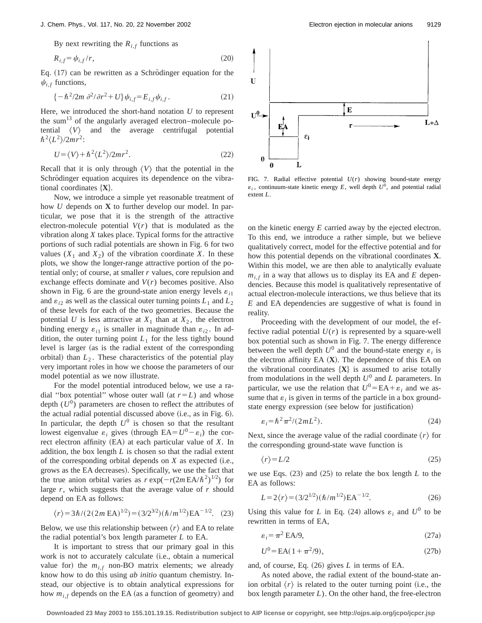By next rewriting the  $R_{i,f}$  functions as

$$
R_{i,f} = \psi_{i,f}/r,\tag{20}
$$

Eq.  $(17)$  can be rewritten as a Schrödinger equation for the  $\psi_{i,f}$  functions,

$$
\{-\hbar^2/2m\,\partial^2/\partial r^2 + U\}\psi_{i,f} = E_{i,f}\psi_{i,f}.\tag{21}
$$

Here, we introduced the short-hand notation *U* to represent the sum $^{13}$  of the angularly averaged electron–molecule potential  $\langle V \rangle$  and the average centrifugal potential  $\hbar^2 \langle L^2 \rangle / 2mr^2$ :

$$
U = \langle V \rangle + \hbar^2 \langle L^2 \rangle / 2mr^2. \tag{22}
$$

Recall that it is only through  $\langle V \rangle$  that the potential in the Schrödinger equation acquires its dependence on the vibrational coordinates  $\{X\}$ .

Now, we introduce a simple yet reasonable treatment of how *U* depends on **X** to further develop our model. In particular, we pose that it is the strength of the attractive electron-molecule potential *V*(*r*) that is modulated as the vibration along *X* takes place. Typical forms for the attractive portions of such radial potentials are shown in Fig. 6 for two values  $(X_1$  and  $X_2$ ) of the vibration coordinate *X*. In these plots, we show the longer-range attractive portion of the potential only; of course, at smaller *r* values, core repulsion and exchange effects dominate and  $V(r)$  becomes positive. Also shown in Fig. 6 are the ground-state anion energy levels  $\varepsilon_{i1}$ and  $\varepsilon_{i2}$  as well as the classical outer turning points  $L_1$  and  $L_2$ of these levels for each of the two geometries. Because the potential *U* is less attractive at  $X_1$  than at  $X_2$ , the electron binding energy  $\varepsilon_{i1}$  is smaller in magnitude than  $\varepsilon_{i2}$ . In addition, the outer turning point  $L_1$  for the less tightly bound level is larger (as is the radial extent of the corresponding orbital) than  $L<sub>2</sub>$ . These characteristics of the potential play very important roles in how we choose the parameters of our model potential as we now illustrate.

For the model potential introduced below, we use a radial "box potential" whose outer wall (at  $r=L$ ) and whose depth  $(U^0)$  parameters are chosen to reflect the attributes of the actual radial potential discussed above  $(i.e., as in Fig. 6).$ In particular, the depth  $U^0$  is chosen so that the resultant lowest eigenvalue  $\varepsilon_i$  gives (through EA= $U^0 - \varepsilon_i$ ) the correct electron affinity  $(EA)$  at each particular value of  $X$ . In addition, the box length *L* is chosen so that the radial extent of the corresponding orbital depends on  $X$  as expected (i.e., grows as the EA decreases). Specifically, we use the fact that the true anion orbital varies as  $r \exp(-r(2m \text{EA}/\hbar^2)^{1/2})$  for large *r*, which suggests that the average value of *r* should depend on EA as follows:

$$
\langle r \rangle = 3\hbar / (2(2m \text{ EA})^{1/2}) = (3/2^{3/2})(\hbar / m^{1/2}) \text{ EA}^{-1/2}. \quad (23)
$$

Below, we use this relationship between  $\langle r \rangle$  and EA to relate the radial potential's box length parameter *L* to EA.

It is important to stress that our primary goal in this work is not to accurately calculate (i.e., obtain a numerical value for) the  $m_{i,f}$  non-BO matrix elements; we already know how to do this using *ab initio* quantum chemistry. Instead, our objective is to obtain analytical expressions for how  $m_{i,f}$  depends on the EA (as a function of geometry) and



FIG. 7. Radial effective potential *U*(*r*) showing bound-state energy  $\varepsilon_i$ , continuum-state kinetic energy *E*, well depth  $U^0$ , and potential radial extent *L*.

on the kinetic energy *E* carried away by the ejected electron. To this end, we introduce a rather simple, but we believe qualitatively correct, model for the effective potential and for how this potential depends on the vibrational coordinates **X**. Within this model, we are then able to analytically evaluate  $m_{i,f}$  in a way that allows us to display its EA and *E* dependencies. Because this model is qualitatively representative of actual electron-molecule interactions, we thus believe that its *E* and EA dependencies are suggestive of what is found in reality.

Proceeding with the development of our model, the effective radial potential  $U(r)$  is represented by a square-well box potential such as shown in Fig. 7. The energy difference between the well depth  $U^0$  and the bound-state energy  $\varepsilon_i$  is the electron affinity EA  $(X)$ . The dependence of this EA on the vibrational coordinates  $\{X\}$  is assumed to arise totally from modulations in the well depth  $U^0$  and  $L$  parameters. In particular, we use the relation that  $U^0 = EA + \varepsilon_i$  and we assume that  $\varepsilon_i$  is given in terms of the particle in a box groundstate energy expression (see below for justification)

$$
\varepsilon_i = \hbar^2 \pi^2 / (2mL^2). \tag{24}
$$

Next, since the average value of the radial coordinate  $\langle r \rangle$  for the corresponding ground-state wave function is

$$
\langle r \rangle = L/2 \tag{25}
$$

we use Eqs.  $(23)$  and  $(25)$  to relate the box length *L* to the EA as follows:

$$
L = 2\langle r \rangle = (3/2^{1/2})(\hbar/m^{1/2})\text{EA}^{-1/2}.
$$
 (26)

Using this value for *L* in Eq. (24) allows  $\varepsilon_i$  and  $U^0$  to be rewritten in terms of EA,

$$
\varepsilon_i = \pi^2 \text{EA}/9,\tag{27a}
$$

$$
U^0 = EA(1 + \pi^2/9),\tag{27b}
$$

and, of course, Eq.  $(26)$  gives  $L$  in terms of EA.

As noted above, the radial extent of the bound-state anion orbital  $\langle r \rangle$  is related to the outer turning point (i.e., the box length parameter *L*). On the other hand, the free-electron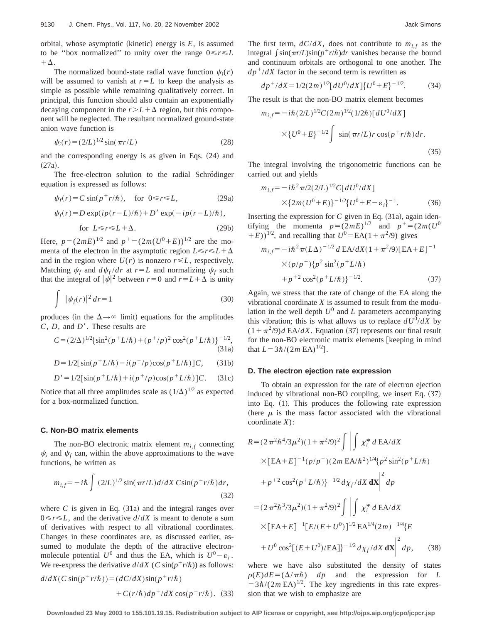orbital, whose asymptotic (kinetic) energy is  $E$ , is assumed to be "box normalized" to unity over the range  $0 \le r \le L$  $+\Delta$ .

The normalized bound-state radial wave function  $\psi_i(r)$ will be assumed to vanish at  $r=L$  to keep the analysis as simple as possible while remaining qualitatively correct. In principal, this function should also contain an exponentially decaying component in the  $r>L+\Delta$  region, but this component will be neglected. The resultant normalized ground-state anion wave function is

$$
\psi_i(r) = (2/L)^{1/2} \sin(\pi r/L) \tag{28}
$$

and the corresponding energy is as given in Eqs.  $(24)$  and  $(27a).$ 

The free-electron solution to the radial Schrödinger equation is expressed as follows:

$$
\psi_f(r) = C \sin(p^+ r/\hbar), \quad \text{for } 0 \le r \le L,
$$
 (29a)

$$
\psi_f(r) = D \exp(ip(r - L)/\hbar) + D' \exp(-ip(r - L)/\hbar),
$$
  
for  $L \le r \le L + \Delta$ . (29b)

Here,  $p = (2mE)^{1/2}$  and  $p^+ = (2m(U^0 + E))^{1/2}$  are the momenta of the electron in the asymptotic region  $L \le r \le L + \Delta$ and in the region where  $U(r)$  is nonzero  $r \leq L$ , respectively. Matching  $\psi_f$  and  $d\psi_f/dr$  at  $r = L$  and normalizing  $\psi_f$  such that the integral of  $|\psi|^2$  between  $r=0$  and  $r=L+\Delta$  is unity

$$
\int |\psi_f(r)|^2 dr = 1 \tag{30}
$$

produces (in the  $\Delta \rightarrow \infty$  limit) equations for the amplitudes *C*, *D*, and *D'*. These results are

$$
C = (2/\Delta)^{1/2} {\sin^2(p^+L/\hbar) + (p^+/p)^2 \cos^2(p^+L/\hbar)}_{(31a)}^{-1/2},
$$

$$
D = 1/2[\sin(p^+L/\hbar) - i(p^+/p)\cos(p^+L/\hbar)]C, \quad (31b)
$$

$$
D' = 1/2[\sin(p^+L/\hbar) + i(p^+/p)\cos(p^+L/\hbar)]C.
$$
 (31c)

Notice that all three amplitudes scale as  $(1/\Delta)^{1/2}$  as expected for a box-normalized function.

#### **C. Non-BO matrix elements**

The non-BO electronic matrix element  $m_{i,f}$  connecting  $\psi_i$  and  $\psi_f$  can, within the above approximations to the wave functions, be written as

$$
m_{i,f} = -i\hbar \int (2/L)^{1/2} \sin(\pi r/L) d/dX \operatorname{Csin}(p^+ r/\hbar) dr,
$$
\n(32)

where  $C$  is given in Eq.  $(31a)$  and the integral ranges over  $0 \le r \le L$ , and the derivative  $d/dX$  is meant to denote a sum of derivatives with respect to all vibrational coordinates. Changes in these coordinates are, as discussed earlier, assumed to modulate the depth of the attractive electronmolecule potential  $U^0$  and thus the EA, which is  $U^0 - \varepsilon_i$ . We re-express the derivative  $d/dX$  (*C* sin( $p^+r/\hbar$ )) as follows:

$$
d/dX(C\sin(p^+r/\hbar)) = (dC/dX)\sin(p^+r/\hbar)
$$
  
+ 
$$
C(r/\hbar)dp^+/dX\cos(p^+r/\hbar).
$$
 (33)

The first term,  $dC/dX$ , does not contribute to  $m_{i,f}$  as the integral  $\int \sin(\pi r/L)\sin(p+r/\hbar)dr$  vanishes because the bound and continuum orbitals are orthogonal to one another. The  $dp^+/dX$  factor in the second term is rewritten as

$$
dp^{+}/dX = 1/2(2m)^{1/2} [dU^{0}/dX] \{U^{0} + E\}^{-1/2}.
$$
 (34)

The result is that the non-BO matrix element becomes

$$
m_{i,f} = -i\hbar (2/L)^{1/2} C (2m)^{1/2} (1/2\hbar) [dU^0/dX]
$$
  
 
$$
\times \{U^0 + E\}^{-1/2} \int \sin(\pi r/L) r \cos(p+r/\hbar) dr.
$$
 (35)

The integral involving the trigonometric functions can be carried out and yields

$$
m_{i,f} = -i\hbar^2 \pi/2(2/L)^{1/2} C[dU^0/dX]
$$
  
 
$$
\times \{2m(U^0 + E)\}^{-1/2} \{U^0 + E - \varepsilon_i\}^{-1}.
$$
 (36)

Inserting the expression for  $C$  given in Eq.  $(31a)$ , again identifying the momenta  $p=(2mE)^{1/2}$  and  $p^+=(2m(U^0))$  $(E)$ <sup>1/2</sup>, and recalling that  $U^0$ =EA(1+ $\pi^2/9$ ) gives

$$
m_{i,f} = -i\hbar^2 \pi (L\Delta)^{-1/2} d \text{EA}/dX (1 + \pi^2/9) [\text{EA} + E]^{-1}
$$
  
× $(p/p^+){p^2 \sin^2(p^+L/\hbar)}$   
+ $p^{+2} \cos^2(p^+L/\hbar)$ }<sup>-1/2</sup>. (37)

Again, we stress that the rate of change of the EA along the vibrational coordinate *X* is assumed to result from the modulation in the well depth  $U^0$  and *L* parameters accompanying this vibration; this is what allows us to replace  $dU^{0}/dX$  by  $(1+\pi^2/9)d$  EA/*dX*. Equation (37) represents our final result for the non-BO electronic matrix elements [keeping in mind that  $L = 3\hbar/(2m \text{ EA})^{1/2}$ .

#### **D. The electron ejection rate expression**

To obtain an expression for the rate of electron ejection induced by vibrational non-BO coupling, we insert Eq.  $(37)$ into Eq.  $(1)$ . This produces the following rate expression (here  $\mu$  is the mass factor associated with the vibrational coordinate *X*):

$$
R = (2 \pi^2 \hbar^4 / 3 \mu^2) (1 + \pi^2 / 9)^2 \int \left| \int \chi_i^* d \, \text{EA}/dX \right|
$$
  
\n
$$
\times [\text{EA} + \text{E}]^{-1} (p/p^+) (2m \, \text{EA}/\hbar^2)^{1/4} \{p^2 \sin^2(p^+ L/\hbar) \}
$$
  
\n
$$
+ p^{+2} \cos^2(p^+ L/\hbar) \}^{-1/2} d\chi_f / dX \, \text{dX} \Big|^2 dp
$$
  
\n
$$
= (2 \pi^2 \hbar^3 / 3 \mu^2) (1 + \pi^2 / 9)^2 \int \left| \int \chi_i^* d \, \text{EA}/dX \right|
$$
  
\n
$$
\times [\text{EA} + \text{E}]^{-1} [\text{E}/(\text{E} + \text{U}^0)]^{1/2} \text{EA}^{1/4} (2m)^{-1/4} {\{\text{E}}$}
$$
  
\n
$$
+ \text{U}^0 \cos^2 [(\text{E} + \text{U}^0)/\text{EA}] \}^{-1/2} d\chi_f / dX \, \text{dX} \Big|^2 dp, \qquad (38)
$$

where we have also substituted the density of states  $\rho(E)dE=(\Delta/\pi\hbar)$  *dp* and the expression for *L*  $=3\hbar/(2m\text{ EA})^{1/2}$ . The key ingredients in this rate expression that we wish to emphasize are

**Downloaded 23 May 2003 to 155.101.19.15. Redistribution subject to AIP license or copyright, see http://ojps.aip.org/jcpo/jcpcr.jsp**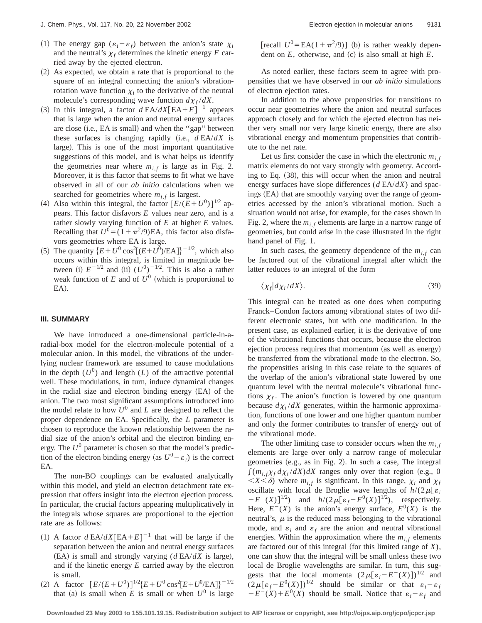- (1) The energy gap  $(\varepsilon_i \varepsilon_f)$  between the anion's state  $\chi_i$ and the neutral's  $\chi_f$  determines the kinetic energy  $E$  carried away by the ejected electron.
- $(2)$  As expected, we obtain a rate that is proportional to the square of an integral connecting the anion's vibrationrotation wave function  $\chi_i$  to the derivative of the neutral molecule's corresponding wave function  $d\chi_f/dX$ .
- (3) In this integral, a factor  $d$  EA/ $dX$ [EA+ $E$ ]<sup>-1</sup> appears that is large when the anion and neutral energy surfaces are close (i.e., EA is small) and when the "gap" between these surfaces is changing rapidly (i.e.,  $d E A/dX$  is large). This is one of the most important quantitative suggestions of this model, and is what helps us identify the geometries near where  $m_{i,f}$  is large as in Fig. 2. Moreover, it is this factor that seems to fit what we have observed in all of our *ab initio* calculations when we searched for geometries where  $m_{i,f}$  is largest.
- (4) Also within this integral, the factor  $[E/(E+U^0)]^{1/2}$  appears. This factor disfavors *E* values near zero, and is a rather slowly varying function of *E* at higher *E* values. Recalling that  $U^0 = (1 + \pi^2/9)E$ A, this factor also disfavors geometries where EA is large.
- (5) The quantity  ${E+U^0 \cos^2[(E+U^0)/\text{EA}]}^{-1/2}$ , which also occurs within this integral, is limited in magnitude between (i)  $E^{-1/2}$  and (ii)  $(U^0)^{-1/2}$ . This is also a rather weak function of  $E$  and of  $U^0$  (which is proportional to  $EA$ ).

## **III. SUMMARY**

We have introduced a one-dimensional particle-in-aradial-box model for the electron-molecule potential of a molecular anion. In this model, the vibrations of the underlying nuclear framework are assumed to cause modulations in the depth  $(U^0)$  and length  $(L)$  of the attractive potential well. These modulations, in turn, induce dynamical changes in the radial size and electron binding energy  $(EA)$  of the anion. The two most significant assumptions introduced into the model relate to how  $U^0$  and  $L$  are designed to reflect the proper dependence on EA. Specifically, the *L* parameter is chosen to reproduce the known relationship between the radial size of the anion's orbital and the electron binding energy. The  $U^0$  parameter is chosen so that the model's prediction of the electron binding energy (as  $U^0 - \varepsilon_i$ ) is the correct EA.

The non-BO couplings can be evaluated analytically within this model, and yield an electron detachment rate expression that offers insight into the electron ejection process. In particular, the crucial factors appearing multiplicatively in the integrals whose squares are proportional to the ejection rate are as follows:

- (1) A factor  $d$  EA/ $dX$ [EA+ $E$ ]<sup>-1</sup> that will be large if the separation between the anion and neutral energy surfaces  $(EA)$  is small and strongly varying ( $d E A/dX$  is large), and if the kinetic energy *E* carried away by the electron is small.
- (2) A factor  $[E/(E+U^0)]^{1/2} {E+U^0 \cos^2[E+U^0/EA]}^{-1/2}$ that (a) is small when *E* is small or when  $U^0$  is large

[recall  $U^0 = EA(1 + \pi^2/9)$ ] (b) is rather weakly dependent on  $E$ , otherwise, and  $(c)$  is also small at high  $E$ .

As noted earlier, these factors seem to agree with propensities that we have observed in our *ab initio* simulations of electron ejection rates.

In addition to the above propensities for transitions to occur near geometries where the anion and neutral surfaces approach closely and for which the ejected electron has neither very small nor very large kinetic energy, there are also vibrational energy and momentum propensities that contribute to the net rate.

Let us first consider the case in which the electronic  $m_i$ ,  $f_i$ matrix elements do not vary strongly with geometry. According to Eq.  $(38)$ , this will occur when the anion and neutral energy surfaces have slope differences (*d* EA/*dX*) and spacings (EA) that are smoothly varying over the range of geometries accessed by the anion's vibrational motion. Such a situation would not arise, for example, for the cases shown in Fig. 2, where the  $m_i$ , elements are large in a narrow range of geometries, but could arise in the case illustrated in the right hand panel of Fig. 1.

In such cases, the geometry dependence of the  $m_{i,f}$  can be factored out of the vibrational integral after which the latter reduces to an integral of the form

$$
\langle \chi_f | d\chi_i / dX \rangle. \tag{39}
$$

This integral can be treated as one does when computing Franck–Condon factors among vibrational states of two different electronic states, but with one modification. In the present case, as explained earlier, it is the derivative of one of the vibrational functions that occurs, because the electron ejection process requires that momentum (as well as energy) be transferred from the vibrational mode to the electron. So, the propensities arising in this case relate to the squares of the overlap of the anion's vibrational state lowered by one quantum level with the neutral molecule's vibrational functions  $\chi_f$ . The anion's function is lowered by one quantum because  $d\chi_i/dX$  generates, within the harmonic approximation, functions of one lower and one higher quantum number and only the former contributes to transfer of energy out of the vibrational mode.

The other limiting case to consider occurs when the  $m<sub>i,f</sub>$ elements are large over only a narrow range of molecular geometries  $(e.g., as in Fig. 2)$ . In such a case, The integral  $\int (m_{i,f}\chi_f d\chi_i/dX) dX$  ranges only over that region (e.g., 0)  $\langle X \rangle \langle \delta \rangle$  where  $m_i$  *f* is significant. In this range,  $\chi_i$  and  $\chi_f$ oscillate with local de Broglie wave lengths of  $h/(2\mu[\varepsilon_i])$  $-E^-(X)$ <sup>[1/2</sup>) and  $h/(2\mu[\varepsilon_f-E^0(X)]^{1/2})$ , respectively. Here,  $E^{-}(X)$  is the anion's energy surface,  $E^{0}(X)$  is the neutral's,  $\mu$  is the reduced mass belonging to the vibrational mode, and  $\varepsilon_i$  and  $\varepsilon_f$  are the anion and neutral vibrational energies. Within the approximation where the  $m_{i,f}$  elements are factored out of this integral (for this limited range of  $X$ ), one can show that the integral will be small unless these two local de Broglie wavelengths are similar. In turn, this suggests that the local momenta  $(2\mu[\epsilon_i-E^{-}(X)])^{1/2}$  and  $(2\mu[\varepsilon_f - E^0(X)])^{1/2}$  should be similar or that  $\varepsilon_i - \varepsilon_f$  $-E^{-}(X) + E^{0}(X)$  should be small. Notice that  $\varepsilon_{i} - \varepsilon_{f}$  and

**Downloaded 23 May 2003 to 155.101.19.15. Redistribution subject to AIP license or copyright, see http://ojps.aip.org/jcpo/jcpcr.jsp**